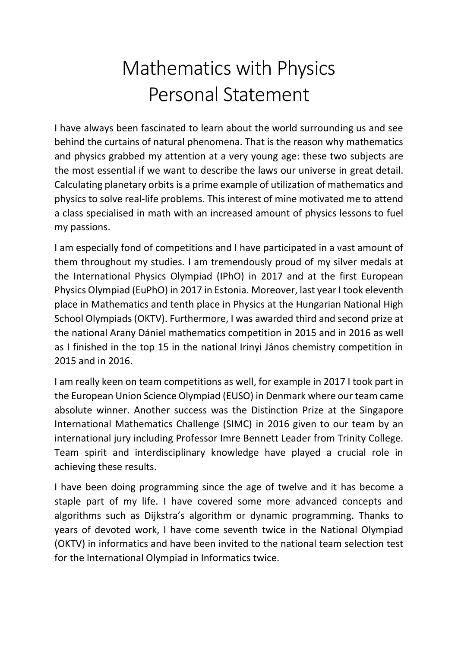## Mathematics with Physics Personal Statement

I have always been fascinated to learn about the world surrounding us and see behind the curtains of natural phenomena. That is the reason why mathematics and physics grabbed my attention at a very young age: these two subjects are the most essential if we want to describe the laws our universe in great detail. Calculating planetary orbits is a prime example of utilization of mathematics and physics to solve real-life problems. This interest of mine motivated me to attend a class specialised in math with an increased amount of physics lessons to fuel my passions.

I am especially fond of competitions and I have participated in a vast amount of them throughout my studies. I am tremendously proud of my silver medals at the International Physics Olympiad (IPhO) in 2017 and at the first European Physics Olympiad (EuPhO) in 2017 in Estonia. Moreover, last year I took eleventh place in Mathematics and tenth place in Physics at the Hungarian National High School Olympiads (OKTV). Furthermore, I was awarded third and second prize at the national Arany Dániel mathematics competition in 2015 and in 2016 as well as I finished in the top 15 in the national Irinyi János chemistry competition in 2015 and in 2016.

I am really keen on team competitions as well, for example in 2017 I took part in the European Union Science Olympiad (EUSO) in Denmark where our team came absolute winner. Another success was the Distinction Prize at the Singapore International Mathematics Challenge (SIMC) in 2016 given to our team by an international jury including Professor Imre Bennett Leader from Trinity College. Team spirit and interdisciplinary knowledge have played a crucial role in achieving these results.

I have been doing programming since the age of twelve and it has become a staple part of my life. I have covered some more advanced concepts and algorithms such as Dijkstra's algorithm or dynamic programming. Thanks to years of devoted work, I have come seventh twice in the National Olympiad (OKTV) in informatics and have been invited to the national team selection test for the International Olympiad in Informatics twice.